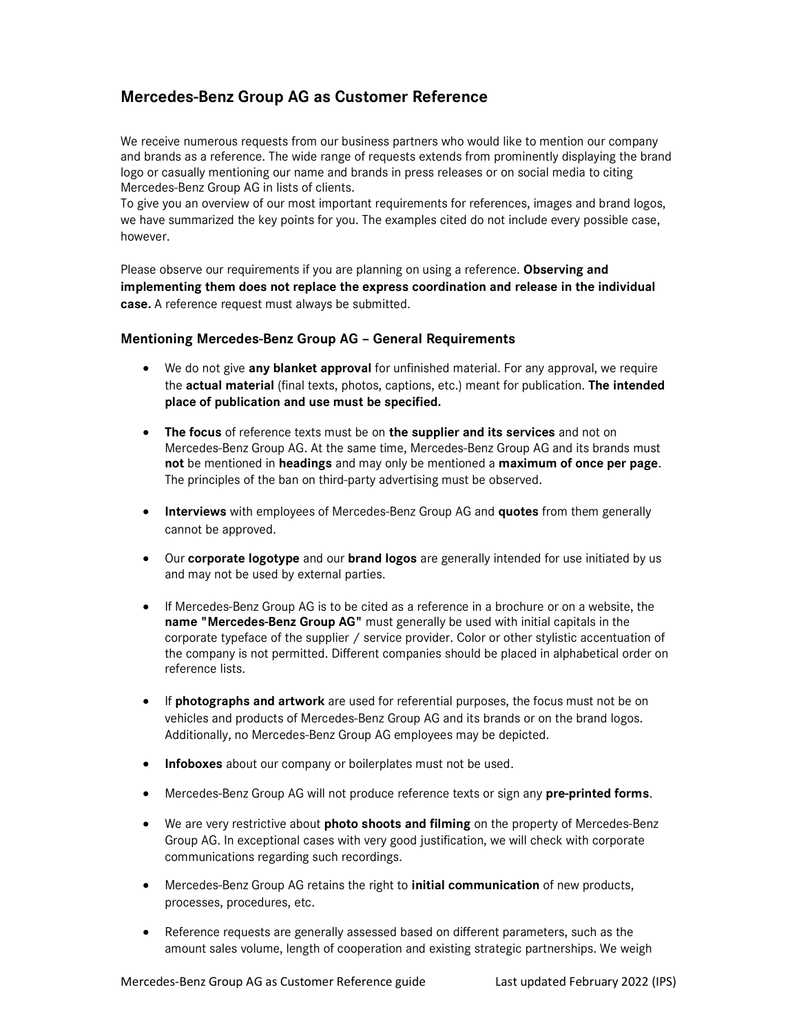## Mercedes-Benz Group AG as Customer Reference

We receive numerous requests from our business partners who would like to mention our company and brands as a reference. The wide range of requests extends from prominently displaying the brand logo or casually mentioning our name and brands in press releases or on social media to citing Mercedes-Benz Group AG in lists of clients.

To give you an overview of our most important requirements for references, images and brand logos, we have summarized the key points for you. The examples cited do not include every possible case, however.

Please observe our requirements if you are planning on using a reference. Observing and implementing them does not replace the express coordination and release in the individual case. A reference request must always be submitted.

## Mentioning Mercedes-Benz Group AG – General Requirements

- We do not give any blanket approval for unfinished material. For any approval, we require the actual material (final texts, photos, captions, etc.) meant for publication. The intended place of publication and use must be specified.
- The focus of reference texts must be on the supplier and its services and not on Mercedes-Benz Group AG. At the same time, Mercedes-Benz Group AG and its brands must not be mentioned in headings and may only be mentioned a maximum of once per page. The principles of the ban on third-party advertising must be observed.
- Interviews with employees of Mercedes-Benz Group AG and quotes from them generally cannot be approved.
- Our corporate logotype and our brand logos are generally intended for use initiated by us and may not be used by external parties.
- If Mercedes-Benz Group AG is to be cited as a reference in a brochure or on a website, the name "Mercedes-Benz Group AG" must generally be used with initial capitals in the corporate typeface of the supplier / service provider. Color or other stylistic accentuation of the company is not permitted. Different companies should be placed in alphabetical order on reference lists.
- If photographs and artwork are used for referential purposes, the focus must not be on vehicles and products of Mercedes-Benz Group AG and its brands or on the brand logos. Additionally, no Mercedes-Benz Group AG employees may be depicted.
- Infoboxes about our company or boilerplates must not be used.
- **Mercedes-Benz Group AG will not produce reference texts or sign any pre-printed forms.**
- We are very restrictive about **photo shoots and filming** on the property of Mercedes-Benz Group AG. In exceptional cases with very good justification, we will check with corporate communications regarding such recordings.
- **Mercedes-Benz Group AG retains the right to initial communication** of new products, processes, procedures, etc.
- Reference requests are generally assessed based on different parameters, such as the amount sales volume, length of cooperation and existing strategic partnerships. We weigh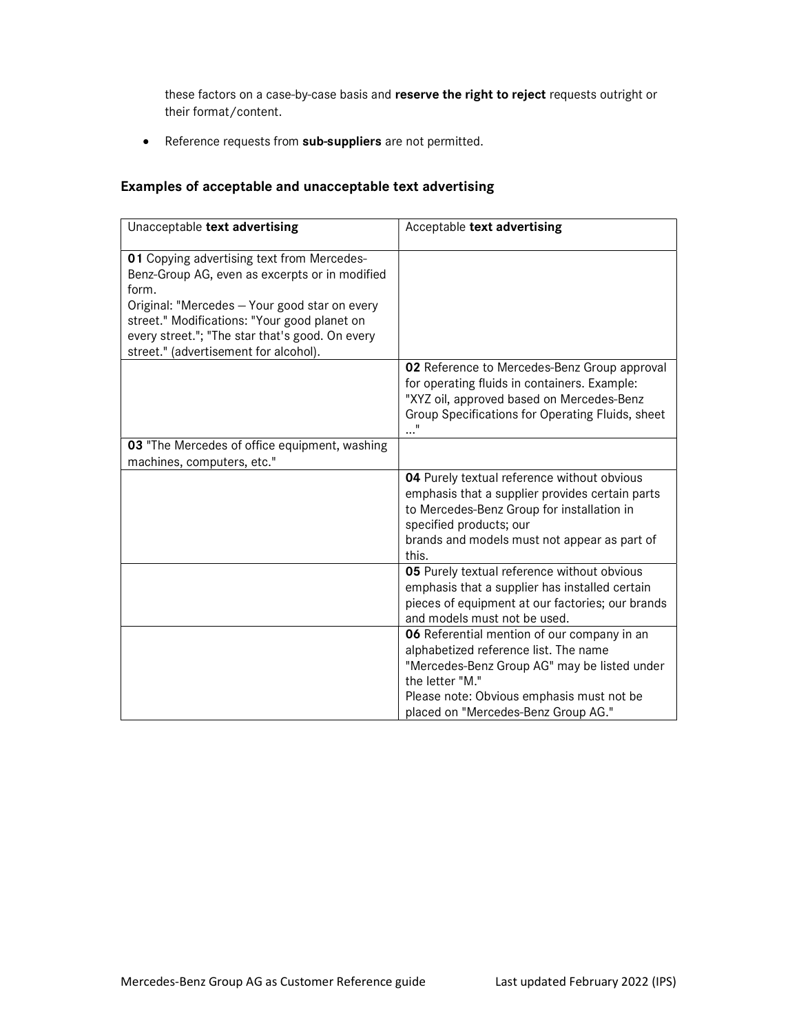these factors on a case-by-case basis and reserve the right to reject requests outright or their format/content.

• Reference requests from sub-suppliers are not permitted.

## Examples of acceptable and unacceptable text advertising

| Unacceptable text advertising                                                                                                                                                                                                                                                                      | Acceptable text advertising                                                                                                                                                                                                                 |
|----------------------------------------------------------------------------------------------------------------------------------------------------------------------------------------------------------------------------------------------------------------------------------------------------|---------------------------------------------------------------------------------------------------------------------------------------------------------------------------------------------------------------------------------------------|
| 01 Copying advertising text from Mercedes-<br>Benz-Group AG, even as excerpts or in modified<br>form.<br>Original: "Mercedes - Your good star on every<br>street." Modifications: "Your good planet on<br>every street."; "The star that's good. On every<br>street." (advertisement for alcohol). |                                                                                                                                                                                                                                             |
|                                                                                                                                                                                                                                                                                                    | 02 Reference to Mercedes-Benz Group approval<br>for operating fluids in containers. Example:<br>"XYZ oil, approved based on Mercedes-Benz<br>Group Specifications for Operating Fluids, sheet                                               |
| 03 "The Mercedes of office equipment, washing<br>machines, computers, etc."                                                                                                                                                                                                                        |                                                                                                                                                                                                                                             |
|                                                                                                                                                                                                                                                                                                    | 04 Purely textual reference without obvious<br>emphasis that a supplier provides certain parts<br>to Mercedes-Benz Group for installation in<br>specified products; our<br>brands and models must not appear as part of<br>this.            |
|                                                                                                                                                                                                                                                                                                    | 05 Purely textual reference without obvious<br>emphasis that a supplier has installed certain<br>pieces of equipment at our factories; our brands<br>and models must not be used.                                                           |
|                                                                                                                                                                                                                                                                                                    | 06 Referential mention of our company in an<br>alphabetized reference list. The name<br>"Mercedes-Benz Group AG" may be listed under<br>the letter "M."<br>Please note: Obvious emphasis must not be<br>placed on "Mercedes-Benz Group AG." |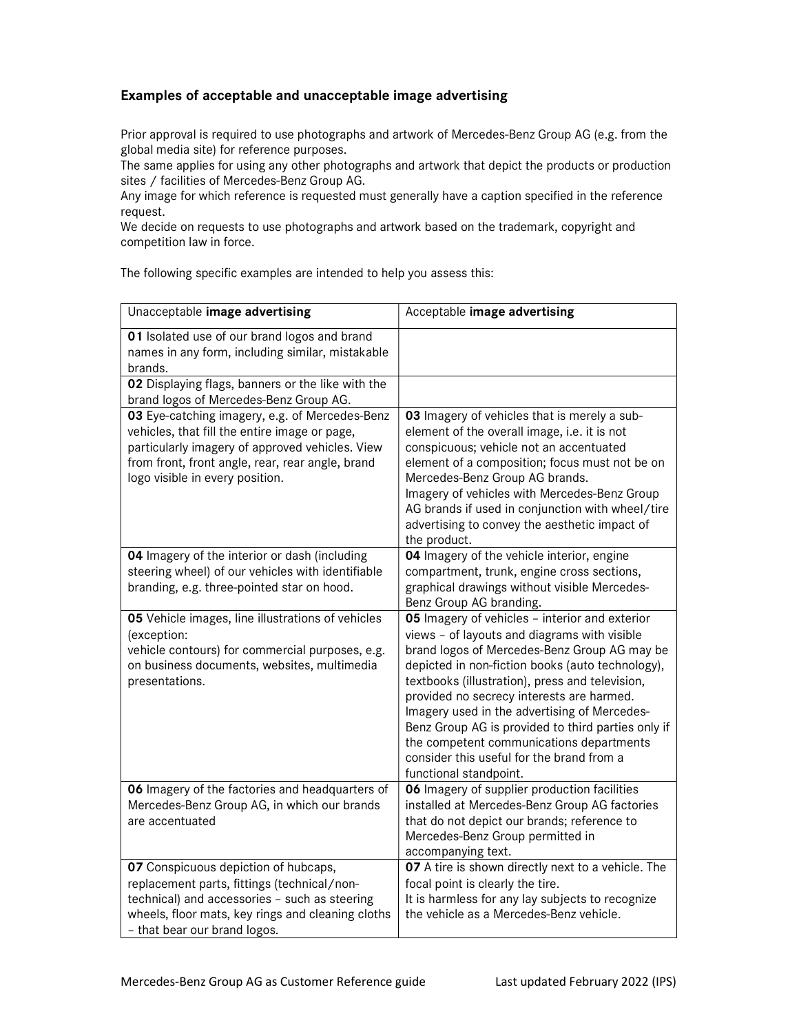## Examples of acceptable and unacceptable image advertising

Prior approval is required to use photographs and artwork of Mercedes-Benz Group AG (e.g. from the global media site) for reference purposes.

The same applies for using any other photographs and artwork that depict the products or production sites / facilities of Mercedes-Benz Group AG.

Any image for which reference is requested must generally have a caption specified in the reference request.

We decide on requests to use photographs and artwork based on the trademark, copyright and competition law in force.

The following specific examples are intended to help you assess this:

| Unacceptable image advertising                                                                                                                                                                                                            | Acceptable image advertising                                                                                                                                                                                                                                                                                                                                                                                                                                                                                                |
|-------------------------------------------------------------------------------------------------------------------------------------------------------------------------------------------------------------------------------------------|-----------------------------------------------------------------------------------------------------------------------------------------------------------------------------------------------------------------------------------------------------------------------------------------------------------------------------------------------------------------------------------------------------------------------------------------------------------------------------------------------------------------------------|
| 01 Isolated use of our brand logos and brand<br>names in any form, including similar, mistakable<br>brands.                                                                                                                               |                                                                                                                                                                                                                                                                                                                                                                                                                                                                                                                             |
| 02 Displaying flags, banners or the like with the<br>brand logos of Mercedes-Benz Group AG.                                                                                                                                               |                                                                                                                                                                                                                                                                                                                                                                                                                                                                                                                             |
| 03 Eye-catching imagery, e.g. of Mercedes-Benz<br>vehicles, that fill the entire image or page,<br>particularly imagery of approved vehicles. View<br>from front, front angle, rear, rear angle, brand<br>logo visible in every position. | 03 Imagery of vehicles that is merely a sub-<br>element of the overall image, i.e. it is not<br>conspicuous; vehicle not an accentuated<br>element of a composition; focus must not be on<br>Mercedes-Benz Group AG brands.<br>Imagery of vehicles with Mercedes-Benz Group<br>AG brands if used in conjunction with wheel/tire<br>advertising to convey the aesthetic impact of<br>the product.                                                                                                                            |
| 04 Imagery of the interior or dash (including<br>steering wheel) of our vehicles with identifiable<br>branding, e.g. three-pointed star on hood.                                                                                          | 04 Imagery of the vehicle interior, engine<br>compartment, trunk, engine cross sections,<br>graphical drawings without visible Mercedes-<br>Benz Group AG branding.                                                                                                                                                                                                                                                                                                                                                         |
| 05 Vehicle images, line illustrations of vehicles<br>(exception:<br>vehicle contours) for commercial purposes, e.g.<br>on business documents, websites, multimedia<br>presentations.                                                      | 05 Imagery of vehicles - interior and exterior<br>views - of layouts and diagrams with visible<br>brand logos of Mercedes-Benz Group AG may be<br>depicted in non-fiction books (auto technology),<br>textbooks (illustration), press and television,<br>provided no secrecy interests are harmed.<br>Imagery used in the advertising of Mercedes-<br>Benz Group AG is provided to third parties only if<br>the competent communications departments<br>consider this useful for the brand from a<br>functional standpoint. |
| 06 Imagery of the factories and headquarters of<br>Mercedes-Benz Group AG, in which our brands<br>are accentuated                                                                                                                         | 06 Imagery of supplier production facilities<br>installed at Mercedes-Benz Group AG factories<br>that do not depict our brands; reference to<br>Mercedes-Benz Group permitted in<br>accompanying text.                                                                                                                                                                                                                                                                                                                      |
| 07 Conspicuous depiction of hubcaps,<br>replacement parts, fittings (technical/non-<br>technical) and accessories - such as steering<br>wheels, floor mats, key rings and cleaning cloths<br>- that bear our brand logos.                 | 07 A tire is shown directly next to a vehicle. The<br>focal point is clearly the tire.<br>It is harmless for any lay subjects to recognize<br>the vehicle as a Mercedes-Benz vehicle.                                                                                                                                                                                                                                                                                                                                       |